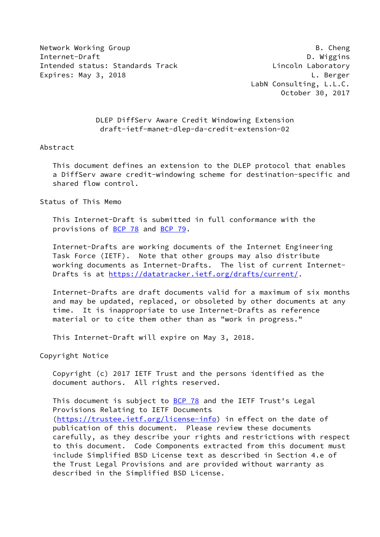Network Working Group **B. Cheng** Internet-Draft D. Wiggins Intended status: Standards Track Lincoln Laboratory Expires: May 3, 2018 **Let us a set of the Search Control** Control Control Control Control Control Control Control Control Control Control Control Control Control Control Control Control Control Control Control Control Cont

 LabN Consulting, L.L.C. October 30, 2017

# DLEP DiffServ Aware Credit Windowing Extension draft-ietf-manet-dlep-da-credit-extension-02

### Abstract

 This document defines an extension to the DLEP protocol that enables a DiffServ aware credit-windowing scheme for destination-specific and shared flow control.

Status of This Memo

 This Internet-Draft is submitted in full conformance with the provisions of [BCP 78](https://datatracker.ietf.org/doc/pdf/bcp78) and [BCP 79](https://datatracker.ietf.org/doc/pdf/bcp79).

 Internet-Drafts are working documents of the Internet Engineering Task Force (IETF). Note that other groups may also distribute working documents as Internet-Drafts. The list of current Internet- Drafts is at<https://datatracker.ietf.org/drafts/current/>.

 Internet-Drafts are draft documents valid for a maximum of six months and may be updated, replaced, or obsoleted by other documents at any time. It is inappropriate to use Internet-Drafts as reference material or to cite them other than as "work in progress."

This Internet-Draft will expire on May 3, 2018.

Copyright Notice

 Copyright (c) 2017 IETF Trust and the persons identified as the document authors. All rights reserved.

This document is subject to **[BCP 78](https://datatracker.ietf.org/doc/pdf/bcp78)** and the IETF Trust's Legal Provisions Relating to IETF Documents [\(https://trustee.ietf.org/license-info](https://trustee.ietf.org/license-info)) in effect on the date of publication of this document. Please review these documents carefully, as they describe your rights and restrictions with respect to this document. Code Components extracted from this document must include Simplified BSD License text as described in Section 4.e of the Trust Legal Provisions and are provided without warranty as described in the Simplified BSD License.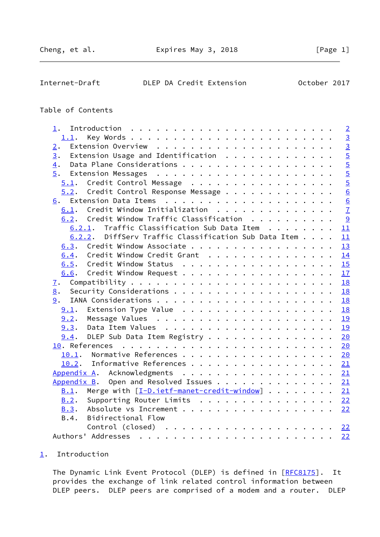# <span id="page-1-1"></span>Internet-Draft DLEP DA Credit Extension October 2017

# Table of Contents

| 1.                                                   | $\overline{2}$ |
|------------------------------------------------------|----------------|
| 1.1.                                                 | $\overline{3}$ |
| 2.                                                   | $\overline{3}$ |
| Extension Usage and Identification $\cdots$<br>3.    | $\overline{5}$ |
| 4.                                                   | $\overline{5}$ |
| 5.                                                   | $\frac{5}{5}$  |
| 5.1. Credit Control Message                          |                |
| 5.2. Credit Control Response Message                 | 6              |
| 6.                                                   | 6              |
| Credit Window Initialization<br>6.1.                 | $\overline{1}$ |
| 6.2. Credit Window Traffic Classification            | $\frac{9}{2}$  |
| 6.2.1. Traffic Classification Sub Data Item          | 11             |
| 6.2.2. DiffServ Traffic Classification Sub Data Item | 11             |
| 6.3. Credit Window Associate                         | 13             |
| Credit Window Credit Grant<br>6.4.                   | 14             |
| 6.5.                                                 | 15             |
| 6.6. Credit Window Request                           | 17             |
| <u>7</u> .                                           | 18             |
| 8.                                                   | 18             |
| 9.                                                   | 18             |
| $9.1$ . Extension Type Value                         | 18             |
|                                                      | 19             |
|                                                      | 19             |
| $9.4$ . DLEP Sub Data Item Registry 20               |                |
|                                                      |                |
| Normative References 20<br>10.1.                     |                |
| 10.2. Informative References                         | 21             |
| Appendix A. Acknowledgments 21                       |                |
| Appendix B. Open and Resolved Issues 21              |                |
| Merge with [I-D.ietf-manet-credit-window] 21<br>B.1. |                |
| Supporting Router Limits $\ldots$ 22<br>B.2.         |                |
| Absolute vs Increment 22<br>B.3.                     |                |
| B.4.<br>Bidirectional Flow                           |                |
|                                                      | 22             |
|                                                      | 22             |
|                                                      |                |

# <span id="page-1-0"></span>[1](#page-1-0). Introduction

The Dynamic Link Event Protocol (DLEP) is defined in [\[RFC8175](https://datatracker.ietf.org/doc/pdf/rfc8175)]. It provides the exchange of link related control information between DLEP peers. DLEP peers are comprised of a modem and a router. DLEP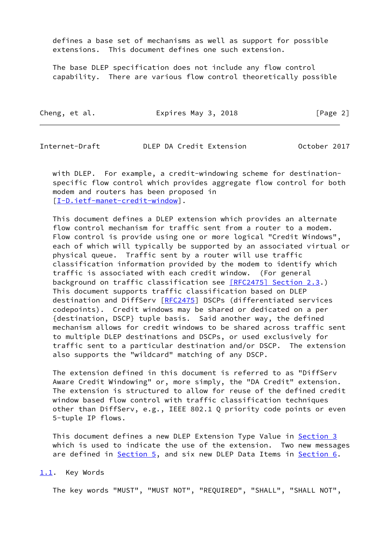defines a base set of mechanisms as well as support for possible extensions. This document defines one such extension.

 The base DLEP specification does not include any flow control capability. There are various flow control theoretically possible

| Cheng, et al. | Expires May 3, 2018 | [Page 2] |
|---------------|---------------------|----------|
|---------------|---------------------|----------|

<span id="page-2-1"></span>Internet-Draft DLEP DA Credit Extension October 2017

 with DLEP. For example, a credit-windowing scheme for destination specific flow control which provides aggregate flow control for both modem and routers has been proposed in [\[I-D.ietf-manet-credit-window](#page-22-4)].

 This document defines a DLEP extension which provides an alternate flow control mechanism for traffic sent from a router to a modem. Flow control is provide using one or more logical "Credit Windows", each of which will typically be supported by an associated virtual or physical queue. Traffic sent by a router will use traffic classification information provided by the modem to identify which traffic is associated with each credit window. (For general background on traffic classification see [\[RFC2475\] Section](https://datatracker.ietf.org/doc/pdf/rfc2475#section-2.3) 2.3.) This document supports traffic classification based on DLEP destination and DiffServ [\[RFC2475](https://datatracker.ietf.org/doc/pdf/rfc2475)] DSCPs (differentiated services codepoints). Credit windows may be shared or dedicated on a per {destination, DSCP} tuple basis. Said another way, the defined mechanism allows for credit windows to be shared across traffic sent to multiple DLEP destinations and DSCPs, or used exclusively for traffic sent to a particular destination and/or DSCP. The extension also supports the "wildcard" matching of any DSCP.

 The extension defined in this document is referred to as "DiffServ Aware Credit Windowing" or, more simply, the "DA Credit" extension. The extension is structured to allow for reuse of the defined credit window based flow control with traffic classification techniques other than DiffServ, e.g., IEEE 802.1 Q priority code points or even 5-tuple IP flows.

 This document defines a new DLEP Extension Type Value in [Section 3](#page-4-0) which is used to indicate the use of the extension. Two new messages are defined in **Section 5**, and six new DLEP Data Items in **Section 6**.

#### <span id="page-2-0"></span>[1.1](#page-2-0). Key Words

The key words "MUST", "MUST NOT", "REQUIRED", "SHALL", "SHALL NOT",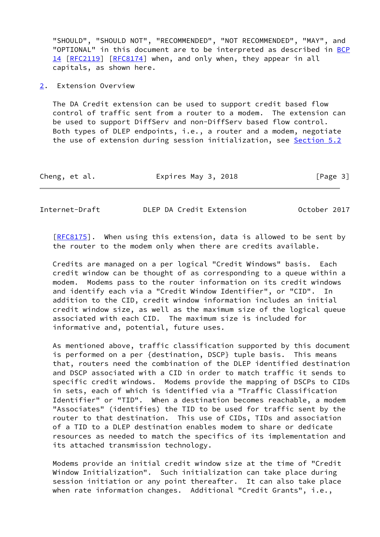"SHOULD", "SHOULD NOT", "RECOMMENDED", "NOT RECOMMENDED", "MAY", and "OPTIONAL" in this document are to be interpreted as described in [BCP](https://datatracker.ietf.org/doc/pdf/bcp14) [14](https://datatracker.ietf.org/doc/pdf/bcp14) [[RFC2119\]](https://datatracker.ietf.org/doc/pdf/rfc2119) [\[RFC8174](https://datatracker.ietf.org/doc/pdf/rfc8174)] when, and only when, they appear in all capitals, as shown here.

### <span id="page-3-0"></span>[2](#page-3-0). Extension Overview

 The DA Credit extension can be used to support credit based flow control of traffic sent from a router to a modem. The extension can be used to support DiffServ and non-DiffServ based flow control. Both types of DLEP endpoints, i.e., a router and a modem, negotiate the use of extension during session initialization, see [Section 5.2](#page-6-0)

| Cheng, et al. | Expires May 3, 2018 | [Page 3] |
|---------------|---------------------|----------|
|---------------|---------------------|----------|

Internet-Draft DLEP DA Credit Extension October 2017

[\[RFC8175](https://datatracker.ietf.org/doc/pdf/rfc8175)]. When using this extension, data is allowed to be sent by the router to the modem only when there are credits available.

 Credits are managed on a per logical "Credit Windows" basis. Each credit window can be thought of as corresponding to a queue within a modem. Modems pass to the router information on its credit windows and identify each via a "Credit Window Identifier", or "CID". In addition to the CID, credit window information includes an initial credit window size, as well as the maximum size of the logical queue associated with each CID. The maximum size is included for informative and, potential, future uses.

 As mentioned above, traffic classification supported by this document is performed on a per {destination, DSCP} tuple basis. This means that, routers need the combination of the DLEP identified destination and DSCP associated with a CID in order to match traffic it sends to specific credit windows. Modems provide the mapping of DSCPs to CIDs in sets, each of which is identified via a "Traffic Classification Identifier" or "TID". When a destination becomes reachable, a modem "Associates" (identifies) the TID to be used for traffic sent by the router to that destination. This use of CIDs, TIDs and association of a TID to a DLEP destination enables modem to share or dedicate resources as needed to match the specifics of its implementation and its attached transmission technology.

 Modems provide an initial credit window size at the time of "Credit Window Initialization". Such initialization can take place during session initiation or any point thereafter. It can also take place when rate information changes. Additional "Credit Grants", i.e.,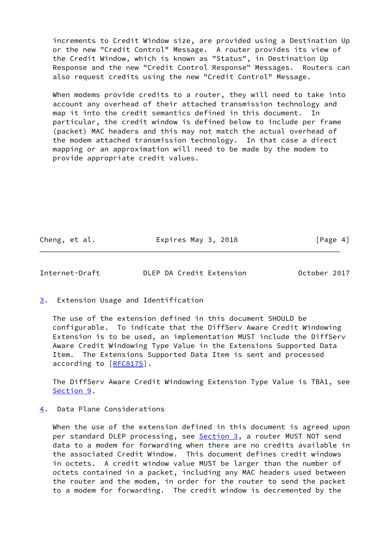increments to Credit Window size, are provided using a Destination Up or the new "Credit Control" Message. A router provides its view of the Credit Window, which is known as "Status", in Destination Up Response and the new "Credit Control Response" Messages. Routers can also request credits using the new "Credit Control" Message.

When modems provide credits to a router, they will need to take into account any overhead of their attached transmission technology and map it into the credit semantics defined in this document. In particular, the credit window is defined below to include per frame (packet) MAC headers and this may not match the actual overhead of the modem attached transmission technology. In that case a direct mapping or an approximation will need to be made by the modem to provide appropriate credit values.

Cheng, et al. **Expires May 3, 2018** [Page 4]

<span id="page-4-1"></span>Internet-Draft DLEP DA Credit Extension October 2017

<span id="page-4-0"></span>[3](#page-4-0). Extension Usage and Identification

 The use of the extension defined in this document SHOULD be configurable. To indicate that the DiffServ Aware Credit Windowing Extension is to be used, an implementation MUST include the DiffServ Aware Credit Windowing Type Value in the Extensions Supported Data Item. The Extensions Supported Data Item is sent and processed according to [\[RFC8175](https://datatracker.ietf.org/doc/pdf/rfc8175)].

 The DiffServ Aware Credit Windowing Extension Type Value is TBA1, see [Section 9](#page-20-0).

# <span id="page-4-2"></span>[4](#page-4-2). Data Plane Considerations

 When the use of the extension defined in this document is agreed upon per standard DLEP processing, see **Section 3**, a router MUST NOT send data to a modem for forwarding when there are no credits available in the associated Credit Window. This document defines credit windows in octets. A credit window value MUST be larger than the number of octets contained in a packet, including any MAC headers used between the router and the modem, in order for the router to send the packet to a modem for forwarding. The credit window is decremented by the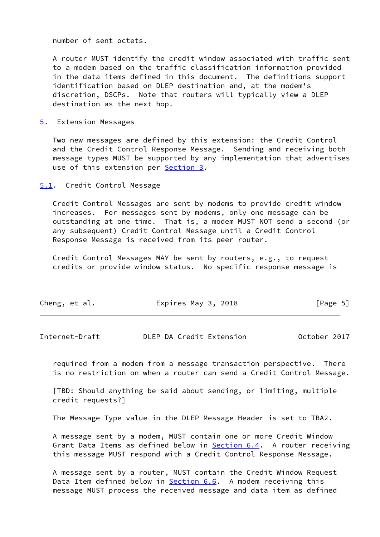number of sent octets.

 A router MUST identify the credit window associated with traffic sent to a modem based on the traffic classification information provided in the data items defined in this document. The definitions support identification based on DLEP destination and, at the modem's discretion, DSCPs. Note that routers will typically view a DLEP destination as the next hop.

<span id="page-5-0"></span>[5](#page-5-0). Extension Messages

 Two new messages are defined by this extension: the Credit Control and the Credit Control Response Message. Sending and receiving both message types MUST be supported by any implementation that advertises use of this extension per [Section 3.](#page-4-0)

<span id="page-5-1"></span>[5.1](#page-5-1). Credit Control Message

 Credit Control Messages are sent by modems to provide credit window increases. For messages sent by modems, only one message can be outstanding at one time. That is, a modem MUST NOT send a second (or any subsequent) Credit Control Message until a Credit Control Response Message is received from its peer router.

 Credit Control Messages MAY be sent by routers, e.g., to request credits or provide window status. No specific response message is

| Expires May 3, 2018<br>Cheng, et al. | [Page 5] |
|--------------------------------------|----------|
|--------------------------------------|----------|

<span id="page-5-2"></span>

 required from a modem from a message transaction perspective. There is no restriction on when a router can send a Credit Control Message.

 [TBD: Should anything be said about sending, or limiting, multiple credit requests?]

The Message Type value in the DLEP Message Header is set to TBA2.

 A message sent by a modem, MUST contain one or more Credit Window Grant Data Items as defined below in [Section 6.4](#page-15-0). A router receiving this message MUST respond with a Credit Control Response Message.

 A message sent by a router, MUST contain the Credit Window Request Data Item defined below in **[Section 6.6](#page-18-0).** A modem receiving this message MUST process the received message and data item as defined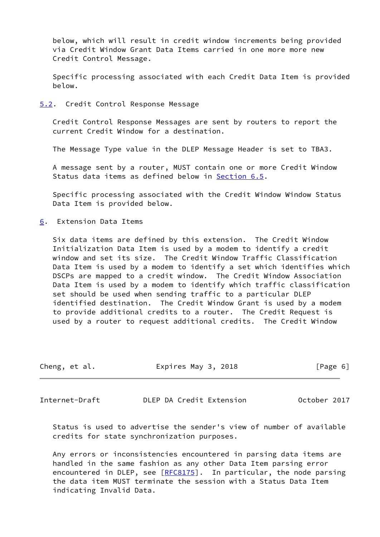below, which will result in credit window increments being provided via Credit Window Grant Data Items carried in one more more new Credit Control Message.

 Specific processing associated with each Credit Data Item is provided below.

<span id="page-6-0"></span>[5.2](#page-6-0). Credit Control Response Message

 Credit Control Response Messages are sent by routers to report the current Credit Window for a destination.

The Message Type value in the DLEP Message Header is set to TBA3.

 A message sent by a router, MUST contain one or more Credit Window Status data items as defined below in **Section 6.5.** 

 Specific processing associated with the Credit Window Window Status Data Item is provided below.

<span id="page-6-1"></span>[6](#page-6-1). Extension Data Items

 Six data items are defined by this extension. The Credit Window Initialization Data Item is used by a modem to identify a credit window and set its size. The Credit Window Traffic Classification Data Item is used by a modem to identify a set which identifies which DSCPs are mapped to a credit window. The Credit Window Association Data Item is used by a modem to identify which traffic classification set should be used when sending traffic to a particular DLEP identified destination. The Credit Window Grant is used by a modem to provide additional credits to a router. The Credit Request is used by a router to request additional credits. The Credit Window

| Cheng, et al. | Expires May 3, 2018 | [Page 6] |  |
|---------------|---------------------|----------|--|
|               |                     |          |  |

<span id="page-6-2"></span>Internet-Draft DLEP DA Credit Extension October 2017

 Status is used to advertise the sender's view of number of available credits for state synchronization purposes.

 Any errors or inconsistencies encountered in parsing data items are handled in the same fashion as any other Data Item parsing error encountered in DLEP, see [\[RFC8175](https://datatracker.ietf.org/doc/pdf/rfc8175)]. In particular, the node parsing the data item MUST terminate the session with a Status Data Item indicating Invalid Data.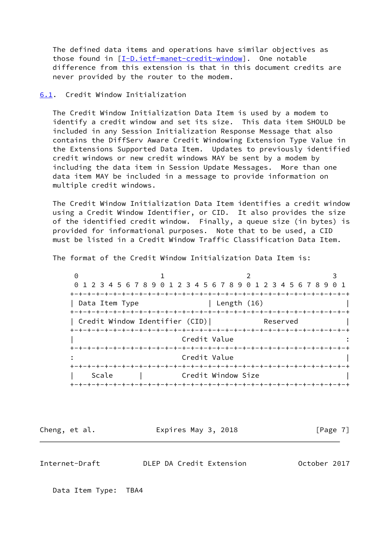The defined data items and operations have similar objectives as those found in [\[I-D.ietf-manet-credit-window](#page-22-4)]. One notable difference from this extension is that in this document credits are never provided by the router to the modem.

### <span id="page-7-0"></span>[6.1](#page-7-0). Credit Window Initialization

 The Credit Window Initialization Data Item is used by a modem to identify a credit window and set its size. This data item SHOULD be included in any Session Initialization Response Message that also contains the DiffServ Aware Credit Windowing Extension Type Value in the Extensions Supported Data Item. Updates to previously identified credit windows or new credit windows MAY be sent by a modem by including the data item in Session Update Messages. More than one data item MAY be included in a message to provide information on multiple credit windows.

 The Credit Window Initialization Data Item identifies a credit window using a Credit Window Identifier, or CID. It also provides the size of the identified credit window. Finally, a queue size (in bytes) is provided for informational purposes. Note that to be used, a CID must be listed in a Credit Window Traffic Classification Data Item.

The format of the Credit Window Initialization Data Item is:

| Θ                                                               |                              |                    |          |  |
|-----------------------------------------------------------------|------------------------------|--------------------|----------|--|
| 0 1 2 3 4 5 6 7 8 9 0 1 2 3 4 5 6 7 8 9 0 1 2 3 4 5 6 7 8 9 0 1 |                              |                    |          |  |
|                                                                 | -+-+-+-+-+-+-+-+-+-+-+-+-+-+ |                    |          |  |
| Data Item Type                                                  |                              | Length (16)        |          |  |
|                                                                 |                              |                    |          |  |
| Credit Window Identifier (CID)                                  |                              |                    | Reserved |  |
|                                                                 |                              |                    |          |  |
|                                                                 | Credit Value                 |                    |          |  |
|                                                                 |                              |                    |          |  |
|                                                                 | Credit Value                 |                    |          |  |
|                                                                 | -+-+-+-+-+-+-+-+-+-+-+       |                    |          |  |
| Scale                                                           |                              | Credit Window Size |          |  |
|                                                                 | -+-+-+-+-+-+-+-+-+           |                    |          |  |

Cheng, et al. **Expires May 3, 2018** [Page 7]

Internet-Draft DLEP DA Credit Extension October 2017

Data Item Type: TBA4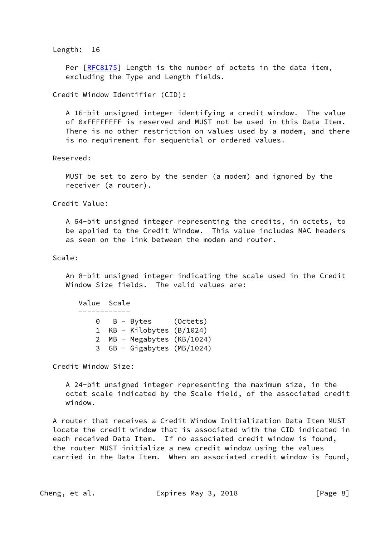#### Length: 16

Per [\[RFC8175](https://datatracker.ietf.org/doc/pdf/rfc8175)] Length is the number of octets in the data item, excluding the Type and Length fields.

Credit Window Identifier (CID):

 A 16-bit unsigned integer identifying a credit window. The value of 0xFFFFFFFF is reserved and MUST not be used in this Data Item. There is no other restriction on values used by a modem, and there is no requirement for sequential or ordered values.

Reserved:

 MUST be set to zero by the sender (a modem) and ignored by the receiver (a router).

Credit Value:

 A 64-bit unsigned integer representing the credits, in octets, to be applied to the Credit Window. This value includes MAC headers as seen on the link between the modem and router.

### Scale:

 An 8-bit unsigned integer indicating the scale used in the Credit Window Size fields. The valid values are:

 Value Scale ------------ 0 B - Bytes (Octets) 1 KB - Kilobytes (B/1024) 2 MB - Megabytes (KB/1024) 3 GB - Gigabytes (MB/1024)

Credit Window Size:

 A 24-bit unsigned integer representing the maximum size, in the octet scale indicated by the Scale field, of the associated credit window.

 A router that receives a Credit Window Initialization Data Item MUST locate the credit window that is associated with the CID indicated in each received Data Item. If no associated credit window is found, the router MUST initialize a new credit window using the values carried in the Data Item. When an associated credit window is found,

Cheng, et al. **Expires May 3, 2018** [Page 8]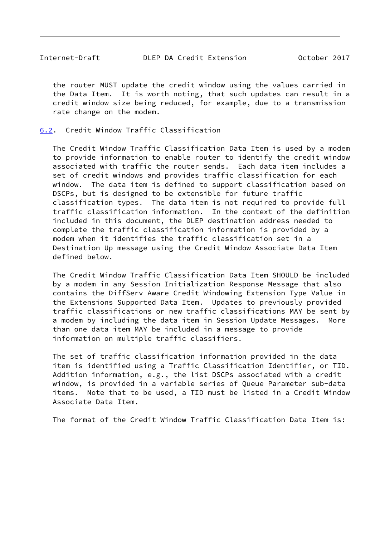<span id="page-9-1"></span> the router MUST update the credit window using the values carried in the Data Item. It is worth noting, that such updates can result in a credit window size being reduced, for example, due to a transmission rate change on the modem.

<span id="page-9-0"></span>[6.2](#page-9-0). Credit Window Traffic Classification

 The Credit Window Traffic Classification Data Item is used by a modem to provide information to enable router to identify the credit window associated with traffic the router sends. Each data item includes a set of credit windows and provides traffic classification for each window. The data item is defined to support classification based on DSCPs, but is designed to be extensible for future traffic classification types. The data item is not required to provide full traffic classification information. In the context of the definition included in this document, the DLEP destination address needed to complete the traffic classification information is provided by a modem when it identifies the traffic classification set in a Destination Up message using the Credit Window Associate Data Item defined below.

 The Credit Window Traffic Classification Data Item SHOULD be included by a modem in any Session Initialization Response Message that also contains the DiffServ Aware Credit Windowing Extension Type Value in the Extensions Supported Data Item. Updates to previously provided traffic classifications or new traffic classifications MAY be sent by a modem by including the data item in Session Update Messages. More than one data item MAY be included in a message to provide information on multiple traffic classifiers.

 The set of traffic classification information provided in the data item is identified using a Traffic Classification Identifier, or TID. Addition information, e.g., the list DSCPs associated with a credit window, is provided in a variable series of Queue Parameter sub-data items. Note that to be used, a TID must be listed in a Credit Window Associate Data Item.

The format of the Credit Window Traffic Classification Data Item is: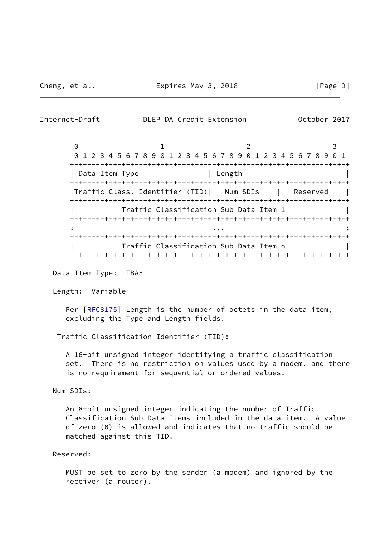Internet-Draft DLEP DA Credit Extension October 2017

 $0$  1 2 3 0 1 2 3 4 5 6 7 8 9 0 1 2 3 4 5 6 7 8 9 0 1 2 3 4 5 6 7 8 9 0 1 +-+-+-+-+-+-+-+-+-+-+-+-+-+-+-+-+-+-+-+-+-+-+-+-+-+-+-+-+-+-+-+-+ | Data Item Type | Length +-+-+-+-+-+-+-+-+-+-+-+-+-+-+-+-+-+-+-+-+-+-+-+-+-+-+-+-+-+-+-+-+ |Traffic Class. Identifier (TID)| Num SDIs | Reserved | +-+-+-+-+-+-+-+-+-+-+-+-+-+-+-+-+-+-+-+-+-+-+-+-+-+-+-+-+-+-+-+-+ | Traffic Classification Sub Data Item 1 | +-+-+-+-+-+-+-+-+-+-+-+-+-+-+-+-+-+-+-+-+-+-+-+-+-+-+-+-+-+-+-+-+ : ... : +-+-+-+-+-+-+-+-+-+-+-+-+-+-+-+-+-+-+-+-+-+-+-+-+-+-+-+-+-+-+-+-+ Traffic Classification Sub Data Item n +-+-+-+-+-+-+-+-+-+-+-+-+-+-+-+-+-+-+-+-+-+-+-+-+-+-+-+-+-+-+-+-+

Data Item Type: TBA5

Length: Variable

Per [\[RFC8175](https://datatracker.ietf.org/doc/pdf/rfc8175)] Length is the number of octets in the data item, excluding the Type and Length fields.

Traffic Classification Identifier (TID):

 A 16-bit unsigned integer identifying a traffic classification set. There is no restriction on values used by a modem, and there is no requirement for sequential or ordered values.

Num SDIs:

 An 8-bit unsigned integer indicating the number of Traffic Classification Sub Data Items included in the data item. A value of zero (0) is allowed and indicates that no traffic should be matched against this TID.

Reserved:

 MUST be set to zero by the sender (a modem) and ignored by the receiver (a router).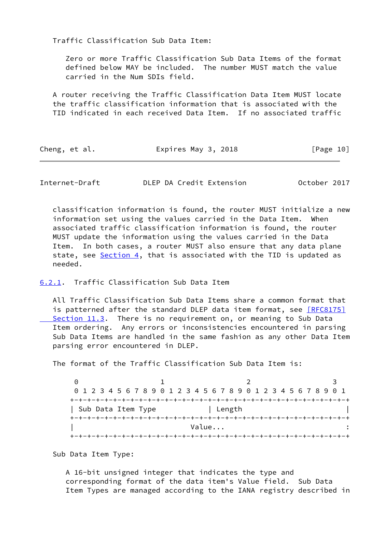Traffic Classification Sub Data Item:

 Zero or more Traffic Classification Sub Data Items of the format defined below MAY be included. The number MUST match the value carried in the Num SDIs field.

 A router receiving the Traffic Classification Data Item MUST locate the traffic classification information that is associated with the TID indicated in each received Data Item. If no associated traffic

| Cheng, et al. | Expires May 3, 2018 | [Page 10] |
|---------------|---------------------|-----------|
|---------------|---------------------|-----------|

<span id="page-11-1"></span>Internet-Draft DLEP DA Credit Extension October 2017

 classification information is found, the router MUST initialize a new information set using the values carried in the Data Item. When associated traffic classification information is found, the router MUST update the information using the values carried in the Data Item. In both cases, a router MUST also ensure that any data plane state, see [Section 4,](#page-4-2) that is associated with the TID is updated as needed.

### <span id="page-11-0"></span>[6.2.1](#page-11-0). Traffic Classification Sub Data Item

 All Traffic Classification Sub Data Items share a common format that is patterned after the standard DLEP data item format, see [\[RFC8175\]](https://datatracker.ietf.org/doc/pdf/rfc8175#section-11.3) Section 11.3. There is no requirement on, or meaning to Sub Data Item ordering. Any errors or inconsistencies encountered in parsing Sub Data Items are handled in the same fashion as any other Data Item parsing error encountered in DLEP.

The format of the Traffic Classification Sub Data Item is:

 $0$  1 2 3 0 1 2 3 4 5 6 7 8 9 0 1 2 3 4 5 6 7 8 9 0 1 2 3 4 5 6 7 8 9 0 1 +-+-+-+-+-+-+-+-+-+-+-+-+-+-+-+-+-+-+-+-+-+-+-+-+-+-+-+-+-+-+-+-+ | Sub Data Item Type | Length +-+-+-+-+-+-+-+-+-+-+-+-+-+-+-+-+-+-+-+-+-+-+-+-+-+-+-+-+-+-+-+-+ | Value... : +-+-+-+-+-+-+-+-+-+-+-+-+-+-+-+-+-+-+-+-+-+-+-+-+-+-+-+-+-+-+-+-+

Sub Data Item Type:

 A 16-bit unsigned integer that indicates the type and corresponding format of the data item's Value field. Sub Data Item Types are managed according to the IANA registry described in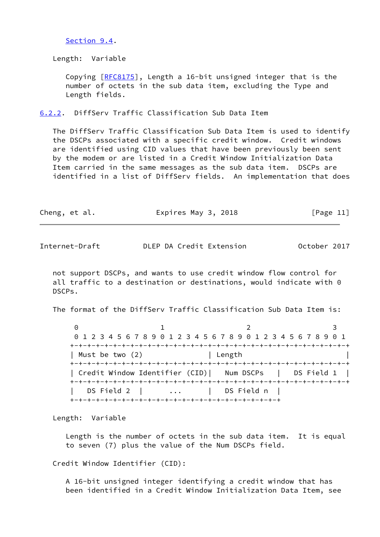#### [Section 9.4](#page-21-0).

Length: Variable

Copying [[RFC8175\]](https://datatracker.ietf.org/doc/pdf/rfc8175), Length a 16-bit unsigned integer that is the number of octets in the sub data item, excluding the Type and Length fields.

<span id="page-12-0"></span>[6.2.2](#page-12-0). DiffServ Traffic Classification Sub Data Item

 The DiffServ Traffic Classification Sub Data Item is used to identify the DSCPs associated with a specific credit window. Credit windows are identified using CID values that have been previously been sent by the modem or are listed in a Credit Window Initialization Data Item carried in the same messages as the sub data item. DSCPs are identified in a list of DiffServ fields. An implementation that does

| Cheng, et al. | Expires May 3, 2018 | [Page 11] |
|---------------|---------------------|-----------|
|---------------|---------------------|-----------|

Internet-Draft DLEP DA Credit Extension October 2017

 not support DSCPs, and wants to use credit window flow control for all traffic to a destination or destinations, would indicate with 0 DSCPs.

The format of the DiffServ Traffic Classification Sub Data Item is:

 $0$  1 2 3 0 1 2 3 4 5 6 7 8 9 0 1 2 3 4 5 6 7 8 9 0 1 2 3 4 5 6 7 8 9 0 1 +-+-+-+-+-+-+-+-+-+-+-+-+-+-+-+-+-+-+-+-+-+-+-+-+-+-+-+-+-+-+-+-+ | Must be two (2) | Length +-+-+-+-+-+-+-+-+-+-+-+-+-+-+-+-+-+-+-+-+-+-+-+-+-+-+-+-+-+-+-+-+ | Credit Window Identifier (CID)| Num DSCPs | DS Field 1 | +-+-+-+-+-+-+-+-+-+-+-+-+-+-+-+-+-+-+-+-+-+-+-+-+-+-+-+-+-+-+-+-+ | DS Field 2 | ... | DS Field n | +-+-+-+-+-+-+-+-+-+-+-+-+-+-+-+-+-+-+-+-+-+-+-+-+

Length: Variable

 Length is the number of octets in the sub data item. It is equal to seven (7) plus the value of the Num DSCPs field.

Credit Window Identifier (CID):

 A 16-bit unsigned integer identifying a credit window that has been identified in a Credit Window Initialization Data Item, see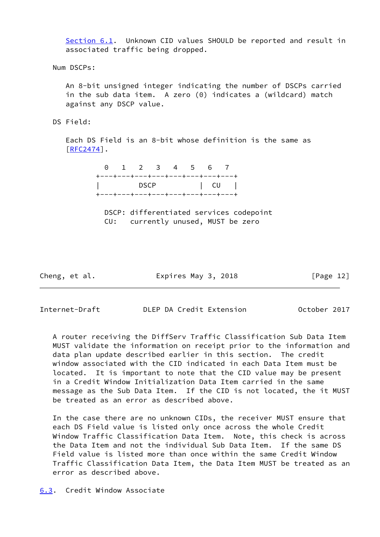[Section 6.1](#page-7-0). Unknown CID values SHOULD be reported and result in associated traffic being dropped.

Num DSCPs:

 An 8-bit unsigned integer indicating the number of DSCPs carried in the sub data item. A zero (0) indicates a (wildcard) match against any DSCP value.

DS Field:

 Each DS Field is an 8-bit whose definition is the same as [[RFC2474\]](https://datatracker.ietf.org/doc/pdf/rfc2474).

> 0 1 2 3 4 5 6 7 +---+---+---+---+---+---+---+---+ | DSCP | CU | +---+---+---+---+---+---+---+---+

 DSCP: differentiated services codepoint CU: currently unused, MUST be zero

Cheng, et al. Expires May 3, 2018 [Page 12]

<span id="page-13-1"></span>Internet-Draft DLEP DA Credit Extension October 2017

 A router receiving the DiffServ Traffic Classification Sub Data Item MUST validate the information on receipt prior to the information and data plan update described earlier in this section. The credit window associated with the CID indicated in each Data Item must be located. It is important to note that the CID value may be present in a Credit Window Initialization Data Item carried in the same message as the Sub Data Item. If the CID is not located, the it MUST be treated as an error as described above.

 In the case there are no unknown CIDs, the receiver MUST ensure that each DS Field value is listed only once across the whole Credit Window Traffic Classification Data Item. Note, this check is across the Data Item and not the individual Sub Data Item. If the same DS Field value is listed more than once within the same Credit Window Traffic Classification Data Item, the Data Item MUST be treated as an error as described above.

<span id="page-13-0"></span>[6.3](#page-13-0). Credit Window Associate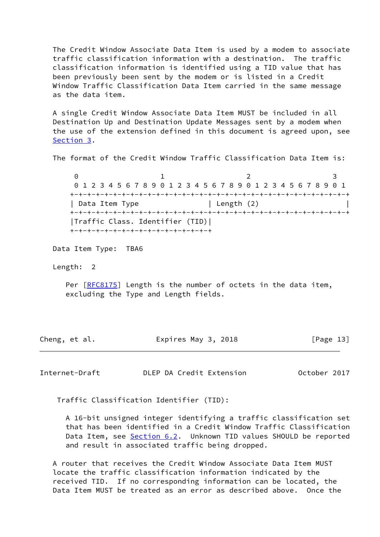The Credit Window Associate Data Item is used by a modem to associate traffic classification information with a destination. The traffic classification information is identified using a TID value that has been previously been sent by the modem or is listed in a Credit Window Traffic Classification Data Item carried in the same message as the data item.

 A single Credit Window Associate Data Item MUST be included in all Destination Up and Destination Update Messages sent by a modem when the use of the extension defined in this document is agreed upon, see [Section 3](#page-4-0).

The format of the Credit Window Traffic Classification Data Item is:

 $0$  1 2 3 0 1 2 3 4 5 6 7 8 9 0 1 2 3 4 5 6 7 8 9 0 1 2 3 4 5 6 7 8 9 0 1 +-+-+-+-+-+-+-+-+-+-+-+-+-+-+-+-+-+-+-+-+-+-+-+-+-+-+-+-+-+-+-+-+ | Data Item Type | Length (2) +-+-+-+-+-+-+-+-+-+-+-+-+-+-+-+-+-+-+-+-+-+-+-+-+-+-+-+-+-+-+-+-+ |Traffic Class. Identifier (TID)| +-+-+-+-+-+-+-+-+-+-+-+-+-+-+-+-+

Data Item Type: TBA6

Length: 2

Per [\[RFC8175](https://datatracker.ietf.org/doc/pdf/rfc8175)] Length is the number of octets in the data item, excluding the Type and Length fields.

| Cheng, et al. | Expires May 3, 2018 | [Page 13] |
|---------------|---------------------|-----------|
|---------------|---------------------|-----------|

<span id="page-14-0"></span>Internet-Draft DLEP DA Credit Extension October 2017

Traffic Classification Identifier (TID):

 A 16-bit unsigned integer identifying a traffic classification set that has been identified in a Credit Window Traffic Classification Data Item, see [Section 6.2](#page-9-0). Unknown TID values SHOULD be reported and result in associated traffic being dropped.

 A router that receives the Credit Window Associate Data Item MUST locate the traffic classification information indicated by the received TID. If no corresponding information can be located, the Data Item MUST be treated as an error as described above. Once the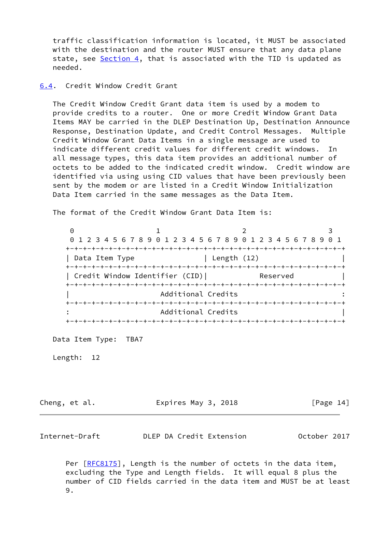traffic classification information is located, it MUST be associated with the destination and the router MUST ensure that any data plane state, see [Section 4,](#page-4-2) that is associated with the TID is updated as needed.

### <span id="page-15-0"></span>[6.4](#page-15-0). Credit Window Credit Grant

 The Credit Window Credit Grant data item is used by a modem to provide credits to a router. One or more Credit Window Grant Data Items MAY be carried in the DLEP Destination Up, Destination Announce Response, Destination Update, and Credit Control Messages. Multiple Credit Window Grant Data Items in a single message are used to indicate different credit values for different credit windows. In all message types, this data item provides an additional number of octets to be added to the indicated credit window. Credit window are identified via using using CID values that have been previously been sent by the modem or are listed in a Credit Window Initialization Data Item carried in the same messages as the Data Item.

The format of the Credit Window Grant Data Item is:

0 1 2 3 0 1 2 3 4 5 6 7 8 9 0 1 2 3 4 5 6 7 8 9 0 1 2 3 4 5 6 7 8 9 0 1 +-+-+-+-+-+-+-+-+-+-+-+-+-+-+-+-+-+-+-+-+-+-+-+-+-+-+-+-+-+-+-+-+ | Data Item Type | Length (12) +-+-+-+-+-+-+-+-+-+-+-+-+-+-+-+-+-+-+-+-+-+-+-+-+-+-+-+-+-+-+-+-+ | Credit Window Identifier (CID)| Reserved | +-+-+-+-+-+-+-+-+-+-+-+-+-+-+-+-+-+-+-+-+-+-+-+-+-+-+-+-+-+-+-+-+ | Additional Credits : +-+-+-+-+-+-+-+-+-+-+-+-+-+-+-+-+-+-+-+-+-+-+-+-+-+-+-+-+-+-+-+-+ : Additional Credits | +-+-+-+-+-+-+-+-+-+-+-+-+-+-+-+-+-+-+-+-+-+-+-+-+-+-+-+-+-+-+-+-+

Data Item Type: TBA7

Length: 12

Cheng, et al. **Expires May 3, 2018** [Page 14]

<span id="page-15-1"></span>Internet-Draft DLEP DA Credit Extension October 2017

Per [\[RFC8175](https://datatracker.ietf.org/doc/pdf/rfc8175)], Length is the number of octets in the data item, excluding the Type and Length fields. It will equal 8 plus the number of CID fields carried in the data item and MUST be at least 9.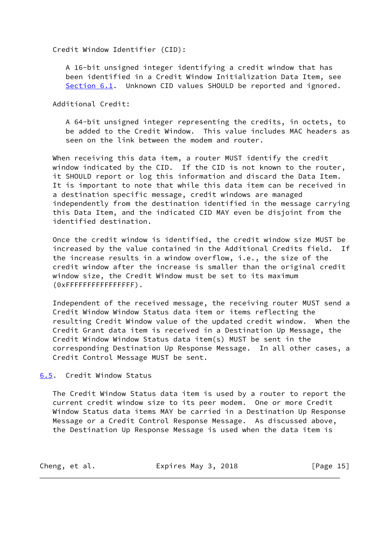Credit Window Identifier (CID):

 A 16-bit unsigned integer identifying a credit window that has been identified in a Credit Window Initialization Data Item, see [Section 6.1](#page-7-0). Unknown CID values SHOULD be reported and ignored.

Additional Credit:

 A 64-bit unsigned integer representing the credits, in octets, to be added to the Credit Window. This value includes MAC headers as seen on the link between the modem and router.

 When receiving this data item, a router MUST identify the credit window indicated by the CID. If the CID is not known to the router, it SHOULD report or log this information and discard the Data Item. It is important to note that while this data item can be received in a destination specific message, credit windows are managed independently from the destination identified in the message carrying this Data Item, and the indicated CID MAY even be disjoint from the identified destination.

 Once the credit window is identified, the credit window size MUST be increased by the value contained in the Additional Credits field. If the increase results in a window overflow, i.e., the size of the credit window after the increase is smaller than the original credit window size, the Credit Window must be set to its maximum (0xFFFFFFFFFFFFFFFF).

 Independent of the received message, the receiving router MUST send a Credit Window Window Status data item or items reflecting the resulting Credit Window value of the updated credit window. When the Credit Grant data item is received in a Destination Up Message, the Credit Window Window Status data item(s) MUST be sent in the corresponding Destination Up Response Message. In all other cases, a Credit Control Message MUST be sent.

<span id="page-16-0"></span>[6.5](#page-16-0). Credit Window Status

 The Credit Window Status data item is used by a router to report the current credit window size to its peer modem. One or more Credit Window Status data items MAY be carried in a Destination Up Response Message or a Credit Control Response Message. As discussed above, the Destination Up Response Message is used when the data item is

| Cheng, et al.<br>Expires May 3, 2018 | [Page $15$ ] |
|--------------------------------------|--------------|
|--------------------------------------|--------------|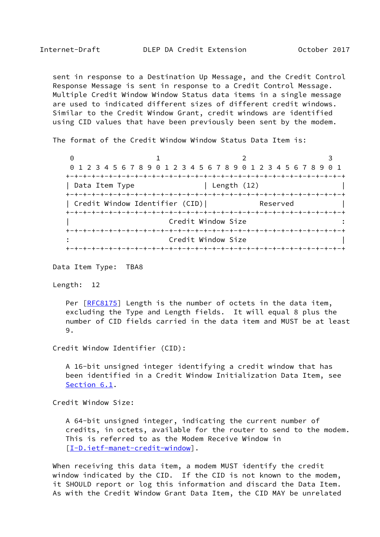sent in response to a Destination Up Message, and the Credit Control Response Message is sent in response to a Credit Control Message. Multiple Credit Window Window Status data items in a single message are used to indicated different sizes of different credit windows. Similar to the Credit Window Grant, credit windows are identified using CID values that have been previously been sent by the modem.

The format of the Credit Window Window Status Data Item is:

0 1 2 3 0 1 2 3 4 5 6 7 8 9 0 1 2 3 4 5 6 7 8 9 0 1 2 3 4 5 6 7 8 9 0 1 +-+-+-+-+-+-+-+-+-+-+-+-+-+-+-+-+-+-+-+-+-+-+-+-+-+-+-+-+-+-+-+-+ | Data Item Type | Length (12) +-+-+-+-+-+-+-+-+-+-+-+-+-+-+-+-+-+-+-+-+-+-+-+-+-+-+-+-+-+-+-+-+ | Credit Window Identifier (CID)| Reserved | +-+-+-+-+-+-+-+-+-+-+-+-+-+-+-+-+-+-+-+-+-+-+-+-+-+-+-+-+-+-+-+-+ Credit Window Size +-+-+-+-+-+-+-+-+-+-+-+-+-+-+-+-+-+-+-+-+-+-+-+-+-+-+-+-+-+-+-+-+ Credit Window Size +-+-+-+-+-+-+-+-+-+-+-+-+-+-+-+-+-+-+-+-+-+-+-+-+-+-+-+-+-+-+-+-+

Data Item Type: TBA8

Length: 12

Per [\[RFC8175](https://datatracker.ietf.org/doc/pdf/rfc8175)] Length is the number of octets in the data item, excluding the Type and Length fields. It will equal 8 plus the number of CID fields carried in the data item and MUST be at least 9.

Credit Window Identifier (CID):

 A 16-bit unsigned integer identifying a credit window that has been identified in a Credit Window Initialization Data Item, see [Section 6.1](#page-7-0).

Credit Window Size:

 A 64-bit unsigned integer, indicating the current number of credits, in octets, available for the router to send to the modem. This is referred to as the Modem Receive Window in [[I-D.ietf-manet-credit-window\]](#page-22-4).

 When receiving this data item, a modem MUST identify the credit window indicated by the CID. If the CID is not known to the modem, it SHOULD report or log this information and discard the Data Item. As with the Credit Window Grant Data Item, the CID MAY be unrelated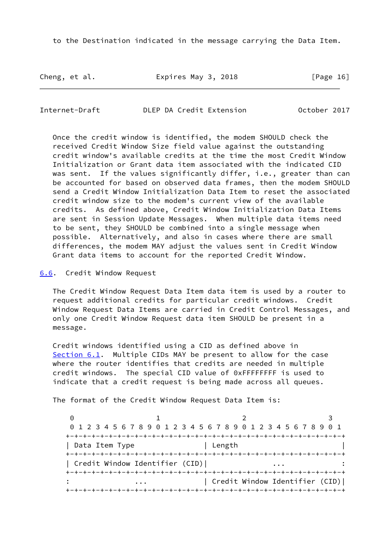to the Destination indicated in the message carrying the Data Item.

Cheng, et al. Expires May 3, 2018 [Page 16]

<span id="page-18-1"></span>Internet-Draft DLEP DA Credit Extension October 2017

 Once the credit window is identified, the modem SHOULD check the received Credit Window Size field value against the outstanding credit window's available credits at the time the most Credit Window Initialization or Grant data item associated with the indicated CID was sent. If the values significantly differ, i.e., greater than can be accounted for based on observed data frames, then the modem SHOULD send a Credit Window Initialization Data Item to reset the associated credit window size to the modem's current view of the available credits. As defined above, Credit Window Initialization Data Items are sent in Session Update Messages. When multiple data items need to be sent, they SHOULD be combined into a single message when possible. Alternatively, and also in cases where there are small differences, the modem MAY adjust the values sent in Credit Window Grant data items to account for the reported Credit Window.

<span id="page-18-0"></span>[6.6](#page-18-0). Credit Window Request

 The Credit Window Request Data Item data item is used by a router to request additional credits for particular credit windows. Credit Window Request Data Items are carried in Credit Control Messages, and only one Credit Window Request data item SHOULD be present in a message.

 Credit windows identified using a CID as defined above in [Section 6.1](#page-7-0). Multiple CIDs MAY be present to allow for the case where the router identifies that credits are needed in multiple credit windows. The special CID value of 0xFFFFFFFF is used to indicate that a credit request is being made across all queues.

The format of the Credit Window Request Data Item is:

0 1 2 3 0 1 2 3 4 5 6 7 8 9 0 1 2 3 4 5 6 7 8 9 0 1 2 3 4 5 6 7 8 9 0 1 +-+-+-+-+-+-+-+-+-+-+-+-+-+-+-+-+-+-+-+-+-+-+-+-+-+-+-+-+-+-+-+-+ | Data Item Type | Length +-+-+-+-+-+-+-+-+-+-+-+-+-+-+-+-+-+-+-+-+-+-+-+-+-+-+-+-+-+-+-+-+ | Credit Window Identifier (CID)| +-+-+-+-+-+-+-+-+-+-+-+-+-+-+-+-+-+-+-+-+-+-+-+-+-+-+-+-+-+-+-+-+ : ... | Credit Window Identifier (CID)| +-+-+-+-+-+-+-+-+-+-+-+-+-+-+-+-+-+-+-+-+-+-+-+-+-+-+-+-+-+-+-+-+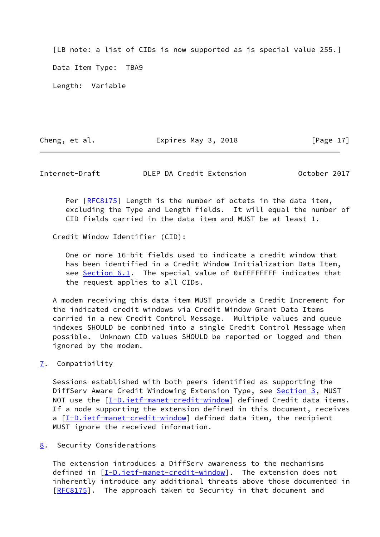[LB note: a list of CIDs is now supported as is special value 255.] Data Item Type: TBA9 Length: Variable

Cheng, et al. **Expires May 3, 2018** [Page 17]

<span id="page-19-1"></span>Internet-Draft DLEP DA Credit Extension October 2017

Per [\[RFC8175](https://datatracker.ietf.org/doc/pdf/rfc8175)] Length is the number of octets in the data item, excluding the Type and Length fields. It will equal the number of CID fields carried in the data item and MUST be at least 1.

Credit Window Identifier (CID):

 One or more 16-bit fields used to indicate a credit window that has been identified in a Credit Window Initialization Data Item, see [Section 6.1](#page-7-0). The special value of 0xFFFFFFFF indicates that the request applies to all CIDs.

 A modem receiving this data item MUST provide a Credit Increment for the indicated credit windows via Credit Window Grant Data Items carried in a new Credit Control Message. Multiple values and queue indexes SHOULD be combined into a single Credit Control Message when possible. Unknown CID values SHOULD be reported or logged and then ignored by the modem.

<span id="page-19-0"></span>[7](#page-19-0). Compatibility

 Sessions established with both peers identified as supporting the DiffServ Aware Credit Windowing Extension Type, see [Section 3,](#page-4-0) MUST NOT use the  $[\underline{I-D.iett-manet-credit-window}]$  defined Credit data items. If a node supporting the extension defined in this document, receives a [[I-D.ietf-manet-credit-window\]](#page-22-4) defined data item, the recipient MUST ignore the received information.

<span id="page-19-2"></span>[8](#page-19-2). Security Considerations

 The extension introduces a DiffServ awareness to the mechanisms defined in [[I-D.ietf-manet-credit-window\]](#page-22-4). The extension does not inherently introduce any additional threats above those documented in [\[RFC8175](https://datatracker.ietf.org/doc/pdf/rfc8175)]. The approach taken to Security in that document and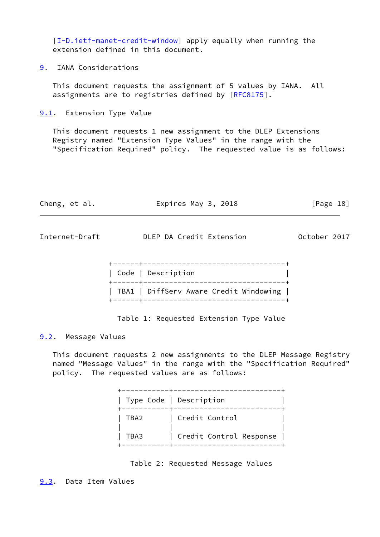[\[I-D.ietf-manet-credit-window](#page-22-4)] apply equally when running the extension defined in this document.

<span id="page-20-0"></span>[9](#page-20-0). IANA Considerations

 This document requests the assignment of 5 values by IANA. All assignments are to registries defined by [\[RFC8175](https://datatracker.ietf.org/doc/pdf/rfc8175)].

<span id="page-20-1"></span>[9.1](#page-20-1). Extension Type Value

 This document requests 1 new assignment to the DLEP Extensions Registry named "Extension Type Values" in the range with the "Specification Required" policy. The requested value is as follows:

<span id="page-20-3"></span>

| Cheng, et al.       | Expires May 3, 2018                     | [Page 18]    |
|---------------------|-----------------------------------------|--------------|
| Internet-Draft      | DLEP DA Credit Extension                | October 2017 |
|                     | Code   Description                      |              |
|                     | TBA1   DiffServ Aware Credit Windowing  |              |
|                     | Table 1: Requested Extension Type Value |              |
| 9.2. Message Values |                                         |              |

<span id="page-20-2"></span> This document requests 2 new assignments to the DLEP Message Registry named "Message Values" in the range with the "Specification Required" policy. The requested values are as follows:

|      | Type Code   Description |
|------|-------------------------|
| TBA2 | Credit Control          |
| TBA3 | Credit Control Response |



<span id="page-20-4"></span>[9.3](#page-20-4). Data Item Values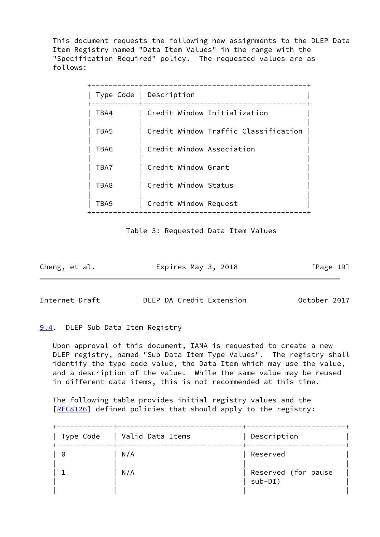This document requests the following new assignments to the DLEP Data Item Registry named "Data Item Values" in the range with the "Specification Required" policy. The requested values are as follows:

|      | Type Code   Description              |
|------|--------------------------------------|
| TBA4 | Credit Window Initialization         |
| TBA5 | Credit Window Traffic Classification |
| TBA6 | Credit Window Association            |
| TBA7 | Credit Window Grant                  |
| TBA8 | Credit Window Status                 |
| TBA9 | Credit Window Request                |
|      |                                      |

Table 3: Requested Data Item Values

Cheng, et al. **Expires May 3, 2018** [Page 19]

<span id="page-21-1"></span>Internet-Draft DLEP DA Credit Extension October 2017

### <span id="page-21-0"></span>[9.4](#page-21-0). DLEP Sub Data Item Registry

 Upon approval of this document, IANA is requested to create a new DLEP registry, named "Sub Data Item Type Values". The registry shall identify the type code value, the Data Item which may use the value, and a description of the value. While the same value may be reused in different data items, this is not recommended at this time.

 The following table provides initial registry values and the [\[RFC8126](https://datatracker.ietf.org/doc/pdf/rfc8126)] defined policies that should apply to the registry:

| Type Code | Valid Data Items | Description                      |
|-----------|------------------|----------------------------------|
| 0         | N/A              | Reserved                         |
|           | N/A              | Reserved (for pause<br>$sub-DI)$ |
|           |                  |                                  |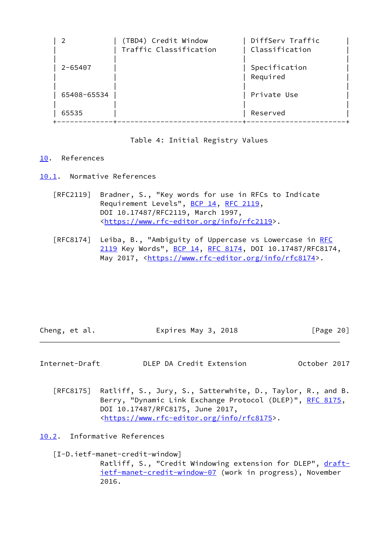| 2           | (TBD4) Credit Window<br>Traffic Classification | DiffSery Traffic<br>Classification |
|-------------|------------------------------------------------|------------------------------------|
| $2 - 65407$ |                                                | Specification<br>Required          |
| 65408-65534 |                                                | Private Use                        |
| 65535       |                                                | Reserved                           |

# Table 4: Initial Registry Values

### <span id="page-22-0"></span>[10.](#page-22-0) References

<span id="page-22-1"></span>[10.1](#page-22-1). Normative References

- [RFC2119] Bradner, S., "Key words for use in RFCs to Indicate Requirement Levels", [BCP 14](https://datatracker.ietf.org/doc/pdf/bcp14), [RFC 2119](https://datatracker.ietf.org/doc/pdf/rfc2119), DOI 10.17487/RFC2119, March 1997, <[https://www.rfc-editor.org/info/rfc2119>](https://www.rfc-editor.org/info/rfc2119).
- [RFC8174] Leiba, B., "Ambiguity of Uppercase vs Lowercase in [RFC](https://datatracker.ietf.org/doc/pdf/rfc2119) [2119](https://datatracker.ietf.org/doc/pdf/rfc2119) Key Words", [BCP 14](https://datatracker.ietf.org/doc/pdf/bcp14), [RFC 8174,](https://datatracker.ietf.org/doc/pdf/rfc8174) DOI 10.17487/RFC8174, May 2017, [<https://www.rfc-editor.org/info/rfc8174](https://www.rfc-editor.org/info/rfc8174)>.

| Cheng, et al. | Expires May 3, 2018 | [Page 20] |
|---------------|---------------------|-----------|
|               |                     |           |

<span id="page-22-3"></span>Internet-Draft DLEP DA Credit Extension October 2017

 [RFC8175] Ratliff, S., Jury, S., Satterwhite, D., Taylor, R., and B. Berry, "Dynamic Link Exchange Protocol (DLEP)", [RFC 8175,](https://datatracker.ietf.org/doc/pdf/rfc8175) DOI 10.17487/RFC8175, June 2017, <[https://www.rfc-editor.org/info/rfc8175>](https://www.rfc-editor.org/info/rfc8175).

<span id="page-22-2"></span>[10.2](#page-22-2). Informative References

<span id="page-22-4"></span>[I-D.ietf-manet-credit-window]

Ratliff, S., "Credit Windowing extension for DLEP", [draft](https://datatracker.ietf.org/doc/pdf/draft-ietf-manet-credit-window-07) [ietf-manet-credit-window-07](https://datatracker.ietf.org/doc/pdf/draft-ietf-manet-credit-window-07) (work in progress), November 2016.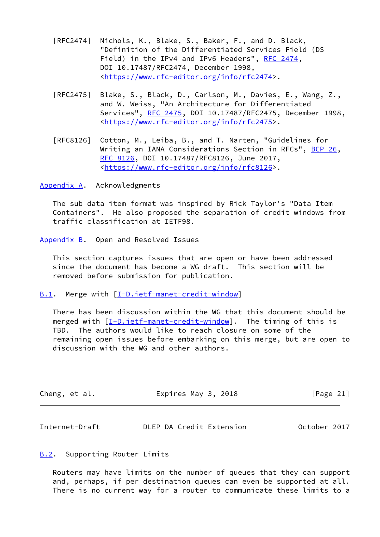- [RFC2474] Nichols, K., Blake, S., Baker, F., and D. Black, "Definition of the Differentiated Services Field (DS Field) in the IPv4 and IPv6 Headers", [RFC 2474](https://datatracker.ietf.org/doc/pdf/rfc2474), DOI 10.17487/RFC2474, December 1998, <[https://www.rfc-editor.org/info/rfc2474>](https://www.rfc-editor.org/info/rfc2474).
- [RFC2475] Blake, S., Black, D., Carlson, M., Davies, E., Wang, Z., and W. Weiss, "An Architecture for Differentiated Services", [RFC 2475](https://datatracker.ietf.org/doc/pdf/rfc2475), DOI 10.17487/RFC2475, December 1998, <[https://www.rfc-editor.org/info/rfc2475>](https://www.rfc-editor.org/info/rfc2475).
- [RFC8126] Cotton, M., Leiba, B., and T. Narten, "Guidelines for Writing an IANA Considerations Section in RFCs", [BCP 26](https://datatracker.ietf.org/doc/pdf/bcp26), [RFC 8126,](https://datatracker.ietf.org/doc/pdf/rfc8126) DOI 10.17487/RFC8126, June 2017, <[https://www.rfc-editor.org/info/rfc8126>](https://www.rfc-editor.org/info/rfc8126).

<span id="page-23-0"></span>[Appendix A.](#page-23-0) Acknowledgments

 The sub data item format was inspired by Rick Taylor's "Data Item Containers". He also proposed the separation of credit windows from traffic classification at IETF98.

<span id="page-23-1"></span>[Appendix B.](#page-23-1) Open and Resolved Issues

 This section captures issues that are open or have been addressed since the document has become a WG draft. This section will be removed before submission for publication.

<span id="page-23-2"></span>[B.1](#page-23-2). Merge with [[I-D.ietf-manet-credit-window\]](#page-22-4)

 There has been discussion within the WG that this document should be merged with [\[I-D.ietf-manet-credit-window](#page-22-4)]. The timing of this is TBD. The authors would like to reach closure on some of the remaining open issues before embarking on this merge, but are open to discussion with the WG and other authors.

| Cheng, et al. | Expires May 3, 2018 | [Page 21] |
|---------------|---------------------|-----------|
|---------------|---------------------|-----------|

<span id="page-23-4"></span>

| October 2017<br>DLEP DA Credit Extension<br>Internet-Draft |  |
|------------------------------------------------------------|--|
|------------------------------------------------------------|--|

### <span id="page-23-3"></span>**[B.2](#page-23-3).** Supporting Router Limits

 Routers may have limits on the number of queues that they can support and, perhaps, if per destination queues can even be supported at all. There is no current way for a router to communicate these limits to a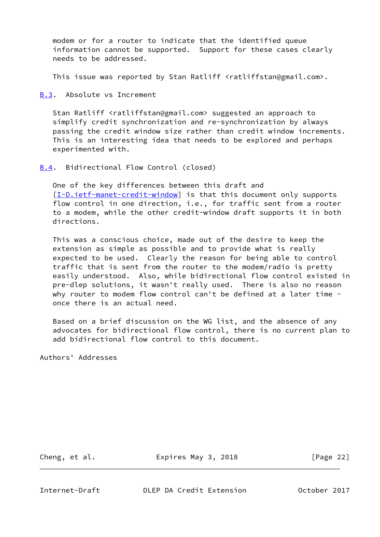modem or for a router to indicate that the identified queue information cannot be supported. Support for these cases clearly needs to be addressed.

This issue was reported by Stan Ratliff <ratliffstan@gmail.com>.

<span id="page-24-0"></span>[B.3](#page-24-0). Absolute vs Increment

Stan Ratliff <ratliffstan@gmail.com> suggested an approach to simplify credit synchronization and re-synchronization by always passing the credit window size rather than credit window increments. This is an interesting idea that needs to be explored and perhaps experimented with.

<span id="page-24-1"></span>**[B.4](#page-24-1).** Bidirectional Flow Control (closed)

 One of the key differences between this draft and [\[I-D.ietf-manet-credit-window](#page-22-4)] is that this document only supports flow control in one direction, i.e., for traffic sent from a router to a modem, while the other credit-window draft supports it in both directions.

 This was a conscious choice, made out of the desire to keep the extension as simple as possible and to provide what is really expected to be used. Clearly the reason for being able to control traffic that is sent from the router to the modem/radio is pretty easily understood. Also, while bidirectional flow control existed in pre-dlep solutions, it wasn't really used. There is also no reason why router to modem flow control can't be defined at a later time once there is an actual need.

 Based on a brief discussion on the WG list, and the absence of any advocates for bidirectional flow control, there is no current plan to add bidirectional flow control to this document.

Authors' Addresses

Cheng, et al. **Expires May 3, 2018** [Page 22]